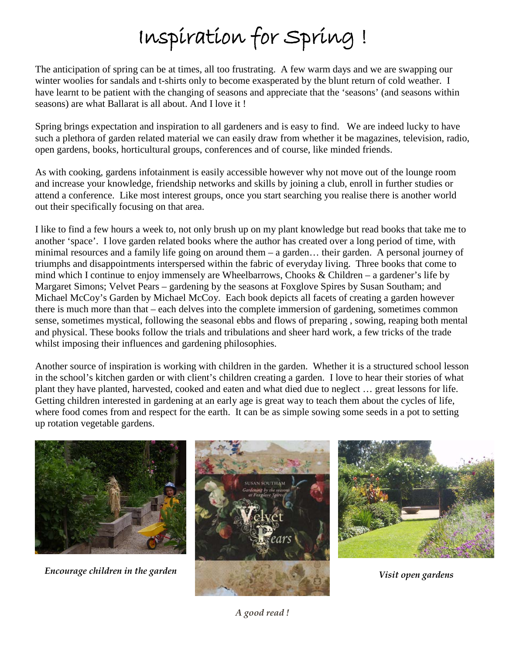## Inspiration for Spring !

The anticipation of spring can be at times, all too frustrating. A few warm days and we are swapping our winter woolies for sandals and t-shirts only to become exasperated by the blunt return of cold weather. I have learnt to be patient with the changing of seasons and appreciate that the 'seasons' (and seasons within seasons) are what Ballarat is all about. And I love it !

Spring brings expectation and inspiration to all gardeners and is easy to find. We are indeed lucky to have such a plethora of garden related material we can easily draw from whether it be magazines, television, radio, open gardens, books, horticultural groups, conferences and of course, like minded friends.

As with cooking, gardens infotainment is easily accessible however why not move out of the lounge room and increase your knowledge, friendship networks and skills by joining a club, enroll in further studies or attend a conference. Like most interest groups, once you start searching you realise there is another world out their specifically focusing on that area.

I like to find a few hours a week to, not only brush up on my plant knowledge but read books that take me to another 'space'. I love garden related books where the author has created over a long period of time, with minimal resources and a family life going on around them – a garden… their garden. A personal journey of triumphs and disappointments interspersed within the fabric of everyday living. Three books that come to mind which I continue to enjoy immensely are Wheelbarrows, Chooks & Children – a gardener's life by Margaret Simons; Velvet Pears – gardening by the seasons at Foxglove Spires by Susan Southam; and Michael McCoy's Garden by Michael McCoy. Each book depicts all facets of creating a garden however there is much more than that – each delves into the complete immersion of gardening, sometimes common sense, sometimes mystical, following the seasonal ebbs and flows of preparing , sowing, reaping both mental and physical. These books follow the trials and tribulations and sheer hard work, a few tricks of the trade whilst imposing their influences and gardening philosophies.

Another source of inspiration is working with children in the garden. Whether it is a structured school lesson in the school's kitchen garden or with client's children creating a garden. I love to hear their stories of what plant they have planted, harvested, cooked and eaten and what died due to neglect … great lessons for life. Getting children interested in gardening at an early age is great way to teach them about the cycles of life, where food comes from and respect for the earth. It can be as simple sowing some seeds in a pot to setting up rotation vegetable gardens.



*Encourage children in the garden*





*Visit open gardens*

*A good read !*